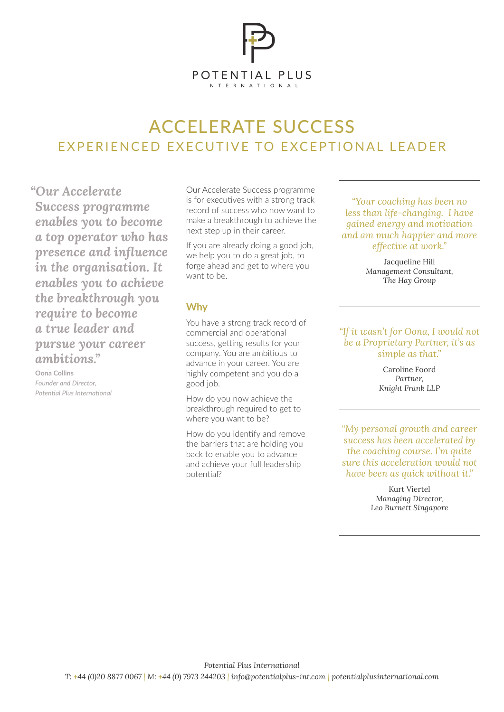

# ACCELERATE SUCCESS EXPERIENCED EXECUTIVE TO EXCEPTIONAL LEADER

*"Our Accelerate Success programme enables you to become a top operator who has presence and influence in the organisation. It enables you to achieve the breakthrough you require to become a true leader and pursue your career ambitions."*

**Oona Collins** *Founder and Director, Potential Plus International* Our Accelerate Success programme is for executives with a strong track record of success who now want to make a breakthrough to achieve the next step up in their career.

If you are already doing a good job, we help you to do a great job, to forge ahead and get to where you want to be.

# **Why**

You have a strong track record of commercial and operational success, getting results for your company. You are ambitious to advance in your career. You are highly competent and you do a good job.

How do you now achieve the breakthrough required to get to where you want to be?

How do you identify and remove the barriers that are holding you back to enable you to advance and achieve your full leadership potential?

*"Your coaching has been no less than life-changing. I have gained energy and motivation and am much happier and more effective at work."*

> Jacqueline Hill *Management Consultant, The Hay Group*

#### *"If it wasn't for Oona, I would not be a Proprietary Partner, it's as simple as that."*

Caroline Foord *Partner, Knight Frank LLP*

*"My personal growth and career success has been accelerated by the coaching course. I'm quite sure this acceleration would not have been as quick without it."*

> Kurt Viertel *Managing Director, Leo Burnett Singapore*